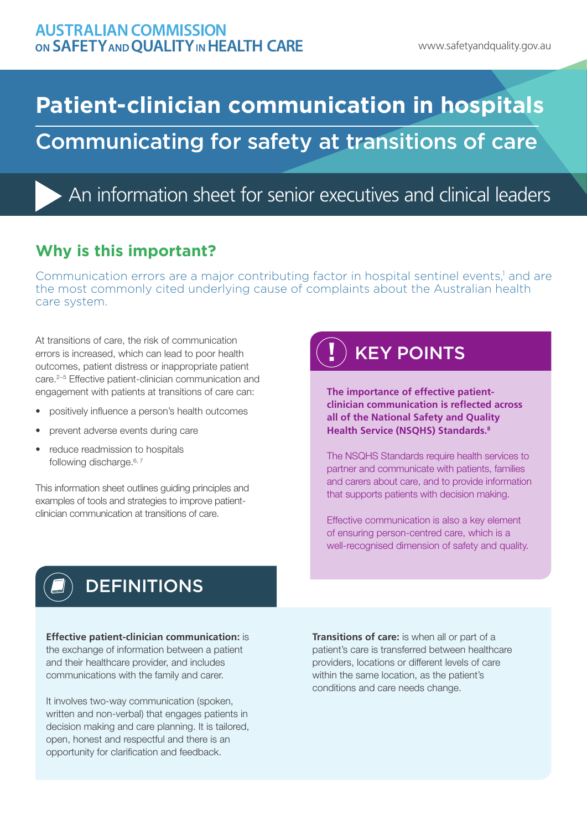# **Patient-clinician communication in hospitals** Communicating for safety at transitions of care

An information sheet for senior executives and clinical leaders

## **Why is this important?**

Communication errors are a major contributing factor in hospital sentinel events,<sup>1</sup> and are the most commonly cited underlying cause of complaints about the Australian health care system.

At transitions of care, the risk of communication errors is increased, which can lead to poor health outcomes, patient distress or inappropriate patient care.2−5 Effective patient-clinician communication and engagement with patients at transitions of care can:

- positively influence a person's health outcomes
- prevent adverse events during care
- reduce readmission to hospitals following discharge.<sup>6, 7</sup>

This information sheet outlines guiding principles and examples of tools and strategies to improve patientclinician communication at transitions of care.

# KEY POINTS

**The importance of effective patientclinician communication is reflected across all of the National Safety and Quality Health Service (NSQHS) Standards.8**

The NSQHS Standards require health services to partner and communicate with patients, families and carers about care, and to provide information that supports patients with decision making.

Effective communication is also a key element of ensuring person-centred care, which is a well-recognised dimension of safety and quality.



# **DEFINITIONS**

#### **Effective patient-clinician communication:** is

the exchange of information between a patient and their healthcare provider, and includes communications with the family and carer.

It involves two-way communication (spoken, written and non-verbal) that engages patients in decision making and care planning. It is tailored, open, honest and respectful and there is an opportunity for clarification and feedback.

**Transitions of care:** is when all or part of a patient's care is transferred between healthcare providers, locations or different levels of care within the same location, as the patient's conditions and care needs change.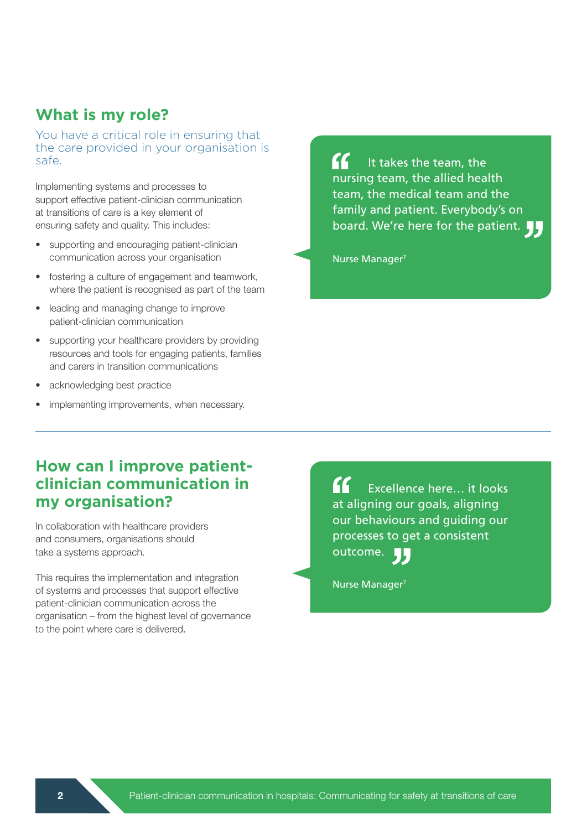### **What is my role?**

You have a critical role in ensuring that the care provided in your organisation is safe.

Implementing systems and processes to support effective patient-clinician communication at transitions of care is a key element of ensuring safety and quality. This includes:

- supporting and encouraging patient-clinician communication across your organisation
- fostering a culture of engagement and teamwork, where the patient is recognised as part of the team
- leading and managing change to improve patient-clinician communication
- supporting your healthcare providers by providing resources and tools for engaging patients, families and carers in transition communications
- acknowledging best practice
- implementing improvements, when necessary.

 $\epsilon$ It takes the team, the nursing team, the allied health team, the medical team and the family and patient. Everybody's on board. We're here for the patient.

Nurse Manager<sup>7</sup>

### **How can I improve patientclinician communication in my organisation?**

In collaboration with healthcare providers and consumers, organisations should take a systems approach.

This requires the implementation and integration of systems and processes that support effective patient-clinician communication across the organisation – from the highest level of governance to the point where care is delivered.

 $\epsilon$ Excellence here… it looks at aligning our goals, aligning our behaviours and guiding our processes to get a consistent outcome. L L.

Nurse Manager7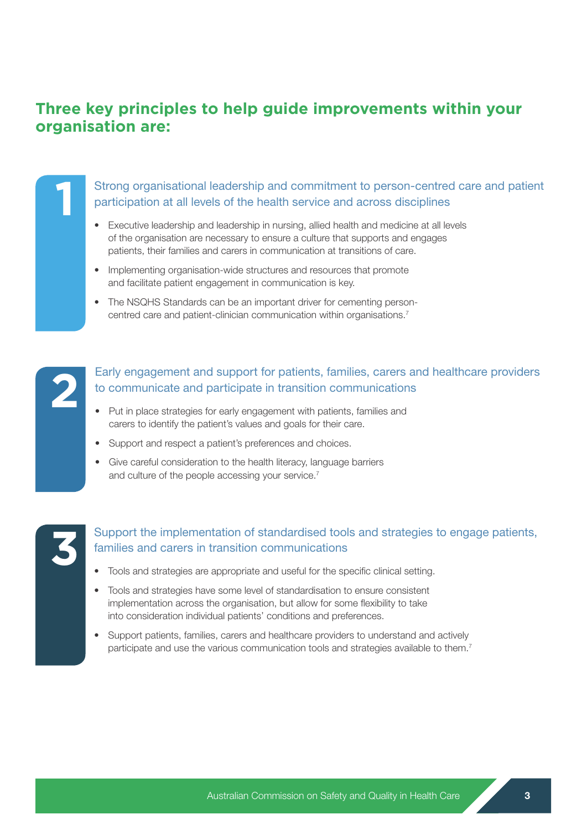### **Three key principles to help guide improvements within your organisation are:**

Strong organisational leadership and commitment to person-centred care and patient participation at all levels of the health service and across disciplines

- Executive leadership and leadership in nursing, allied health and medicine at all levels of the organisation are necessary to ensure a culture that supports and engages patients, their families and carers in communication at transitions of care.
- Implementing organisation-wide structures and resources that promote and facilitate patient engagement in communication is key.
- The NSQHS Standards can be an important driver for cementing personcentred care and patient-clinician communication within organisations.7



**1**

#### Early engagement and support for patients, families, carers and healthcare providers to communicate and participate in transition communications

- Put in place strategies for early engagement with patients, families and carers to identify the patient's values and goals for their care.
- Support and respect a patient's preferences and choices.
- Give careful consideration to the health literacy, language barriers and culture of the people accessing your service.<sup>7</sup>

| F |  |
|---|--|
|   |  |
|   |  |
|   |  |

#### Support the implementation of standardised tools and strategies to engage patients, families and carers in transition communications

- Tools and strategies are appropriate and useful for the specific clinical setting.
- Tools and strategies have some level of standardisation to ensure consistent implementation across the organisation, but allow for some flexibility to take into consideration individual patients' conditions and preferences.
- Support patients, families, carers and healthcare providers to understand and actively participate and use the various communication tools and strategies available to them.<sup>7</sup>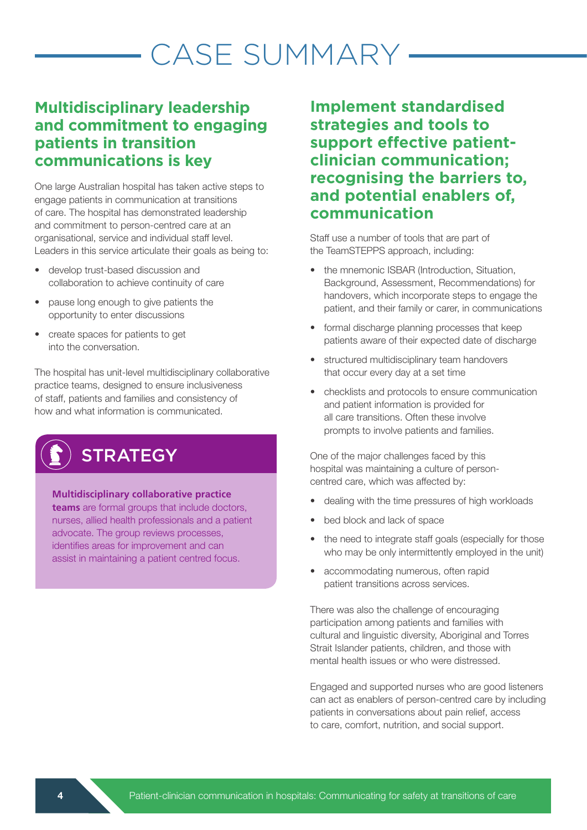# CASE SUMMARY

### **Multidisciplinary leadership and commitment to engaging patients in transition communications is key**

One large Australian hospital has taken active steps to engage patients in communication at transitions of care. The hospital has demonstrated leadership and commitment to person-centred care at an organisational, service and individual staff level. Leaders in this service articulate their goals as being to:

- develop trust-based discussion and collaboration to achieve continuity of care
- pause long enough to give patients the opportunity to enter discussions
- create spaces for patients to get into the conversation.

The hospital has unit-level multidisciplinary collaborative practice teams, designed to ensure inclusiveness of staff, patients and families and consistency of how and what information is communicated.



#### **Multidisciplinary collaborative practice**

**teams** are formal groups that include doctors, nurses, allied health professionals and a patient advocate. The group reviews processes, identifies areas for improvement and can assist in maintaining a patient centred focus.

**Implement standardised strategies and tools to support effective patientclinician communication; recognising the barriers to, and potential enablers of, communication** 

Staff use a number of tools that are part of the TeamSTEPPS approach, including:

- the mnemonic ISBAR (Introduction, Situation, Background, Assessment, Recommendations) for handovers, which incorporate steps to engage the patient, and their family or carer, in communications
- formal discharge planning processes that keep patients aware of their expected date of discharge
- structured multidisciplinary team handovers that occur every day at a set time
- checklists and protocols to ensure communication and patient information is provided for all care transitions. Often these involve prompts to involve patients and families.

One of the major challenges faced by this hospital was maintaining a culture of personcentred care, which was affected by:

- dealing with the time pressures of high workloads
- bed block and lack of space
- the need to integrate staff goals (especially for those who may be only intermittently employed in the unit)
- accommodating numerous, often rapid patient transitions across services.

There was also the challenge of encouraging participation among patients and families with cultural and linguistic diversity, Aboriginal and Torres Strait Islander patients, children, and those with mental health issues or who were distressed.

Engaged and supported nurses who are good listeners can act as enablers of person-centred care by including patients in conversations about pain relief, access to care, comfort, nutrition, and social support.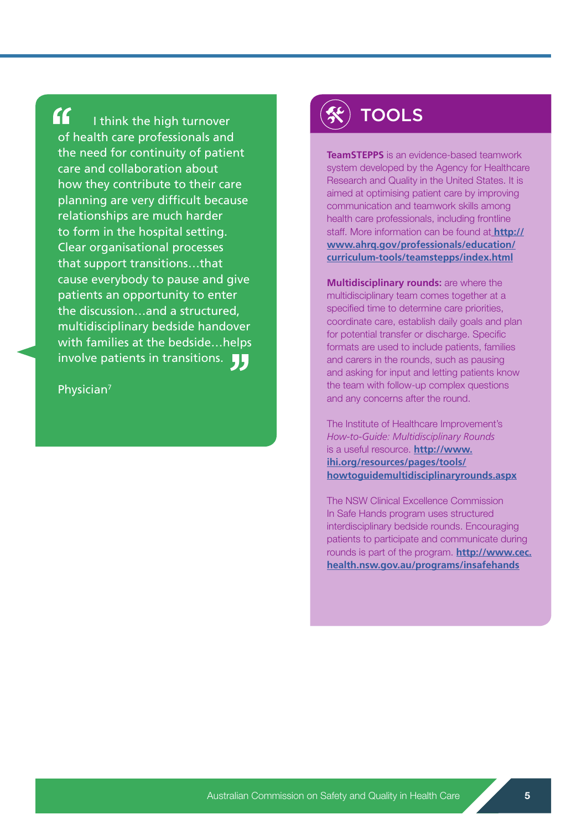$\mathbf{G}$ 

I think the high turnover of health care professionals and the need for continuity of patient care and collaboration about how they contribute to their care planning are very difficult because relationships are much harder to form in the hospital setting. Clear organisational processes that support transitions…that cause everybody to pause and give patients an opportunity to enter the discussion…and a structured, multidisciplinary bedside handover with families at the bedside…helps involve patients in transitions.

Physician7

# **TOOLS**

**TeamSTEPPS** is an evidence-based teamwork system developed by the Agency for Healthcare Research and Quality in the United States. It is aimed at optimising patient care by improving communication and teamwork skills among health care professionals, including frontline staff. More information can be found at **[http://]( http://www.ahrq.gov/professionals/education/curriculum-tools/teamstepps/index.html ) [www.ahrq.gov/professionals/education/]( http://www.ahrq.gov/professionals/education/curriculum-tools/teamstepps/index.html ) [curriculum-tools/teamstepps/index.html]( http://www.ahrq.gov/professionals/education/curriculum-tools/teamstepps/index.html )**

**Multidisciplinary rounds:** are where the multidisciplinary team comes together at a specified time to determine care priorities, coordinate care, establish daily goals and plan for potential transfer or discharge. Specific formats are used to include patients, families and carers in the rounds, such as pausing and asking for input and letting patients know the team with follow-up complex questions and any concerns after the round.

The Institute of Healthcare Improvement's *How-to-Guide: Multidisciplinary Rounds* is a useful resource. **http://www. ihi.org/resources/pages/tools/ howtoguidemultidisciplinaryrounds.aspx**

The NSW Clinical Excellence Commission In Safe Hands program uses structured interdisciplinary bedside rounds. Encouraging patients to participate and communicate during rounds is part of the program. **http://www.cec. health.nsw.gov.au/programs/insafehands**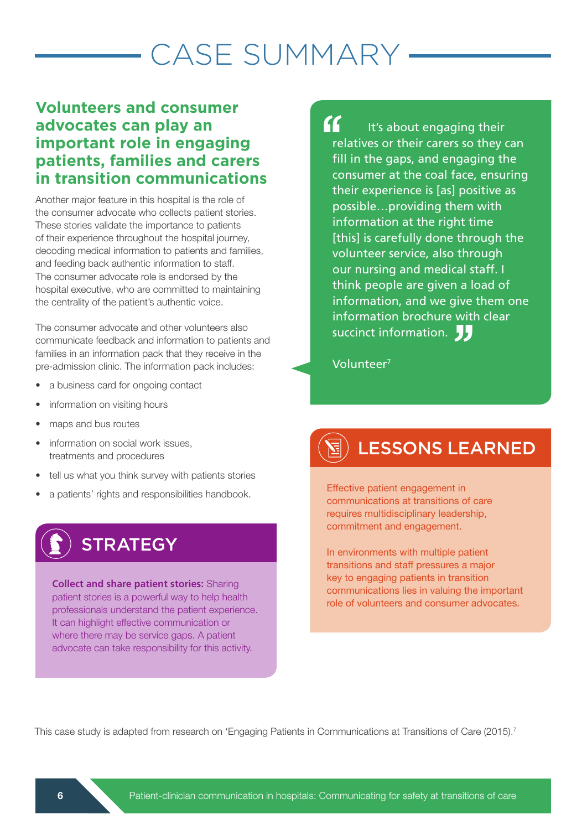# CASE SUMMARY

### **Volunteers and consumer advocates can play an important role in engaging patients, families and carers in transition communications**

Another major feature in this hospital is the role of the consumer advocate who collects patient stories. These stories validate the importance to patients of their experience throughout the hospital journey, decoding medical information to patients and families, and feeding back authentic information to staff. The consumer advocate role is endorsed by the hospital executive, who are committed to maintaining the centrality of the patient's authentic voice.

The consumer advocate and other volunteers also communicate feedback and information to patients and families in an information pack that they receive in the pre-admission clinic. The information pack includes:

- a business card for ongoing contact
- information on visiting hours
- maps and bus routes
- information on social work issues, treatments and procedures
- tell us what you think survey with patients stories
- a patients' rights and responsibilities handbook.

# **STRATEGY**

**Collect and share patient stories:** Sharing patient stories is a powerful way to help health professionals understand the patient experience. It can highlight effective communication or where there may be service gaps. A patient advocate can take responsibility for this activity.

 $\boldsymbol{\kappa}$ It's about engaging their relatives or their carers so they can fill in the gaps, and engaging the consumer at the coal face, ensuring their experience is [as] positive as possible…providing them with information at the right time [this] is carefully done through the volunteer service, also through our nursing and medical staff. I think people are given a load of information, and we give them one information brochure with clear succinct information.

Volunteer7

# LESSONS LEARNED

Effective patient engagement in communications at transitions of care requires multidisciplinary leadership, commitment and engagement.

In environments with multiple patient transitions and staff pressures a major key to engaging patients in transition communications lies in valuing the important role of volunteers and consumer advocates.

This case study is adapted from research on 'Engaging Patients in Communications at Transitions of Care (2015).<sup>7</sup>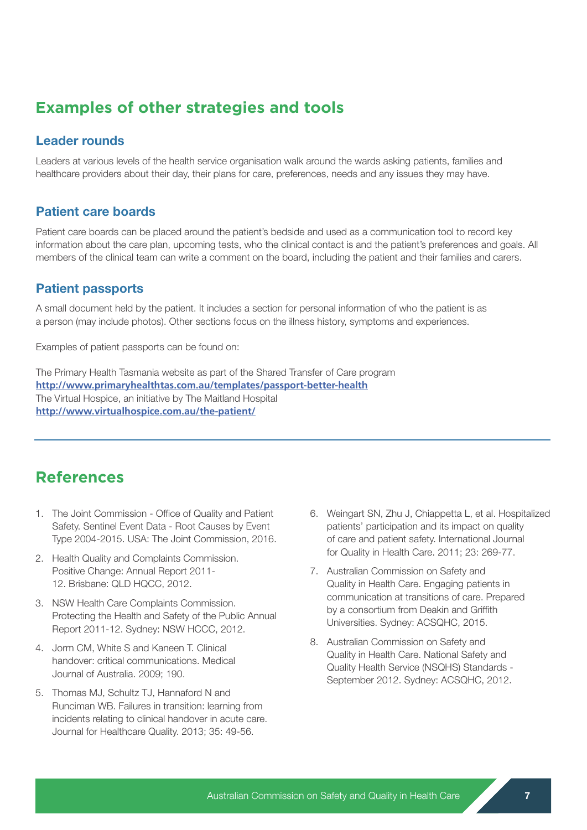### **Examples of other strategies and tools**

#### Leader rounds

Leaders at various levels of the health service organisation walk around the wards asking patients, families and healthcare providers about their day, their plans for care, preferences, needs and any issues they may have.

### Patient care boards

Patient care boards can be placed around the patient's bedside and used as a communication tool to record key information about the care plan, upcoming tests, who the clinical contact is and the patient's preferences and goals. All members of the clinical team can write a comment on the board, including the patient and their families and carers.

### Patient passports

A small document held by the patient. It includes a section for personal information of who the patient is as a person (may include photos). Other sections focus on the illness history, symptoms and experiences.

Examples of patient passports can be found on:

The Primary Health Tasmania website as part of the Shared Transfer of Care program **http://www.primaryhealthtas.com.au/templates/passport-better-health** The Virtual Hospice, an initiative by The Maitland Hospital **http://www.virtualhospice.com.au/the-patient/**

### **References**

- 1. The Joint Commission Office of Quality and Patient Safety. Sentinel Event Data - Root Causes by Event Type 2004-2015. USA: The Joint Commission, 2016.
- 2. Health Quality and Complaints Commission. Positive Change: Annual Report 2011- 12. Brisbane: QLD HQCC, 2012.
- 3. NSW Health Care Complaints Commission. Protecting the Health and Safety of the Public Annual Report 2011-12. Sydney: NSW HCCC, 2012.
- 4. Jorm CM, White S and Kaneen T. Clinical handover: critical communications. Medical Journal of Australia. 2009; 190.
- 5. Thomas MJ, Schultz TJ, Hannaford N and Runciman WB. Failures in transition: learning from incidents relating to clinical handover in acute care. Journal for Healthcare Quality. 2013; 35: 49-56.
- 6. Weingart SN, Zhu J, Chiappetta L, et al. Hospitalized patients' participation and its impact on quality of care and patient safety. International Journal for Quality in Health Care. 2011; 23: 269-77.
- 7. Australian Commission on Safety and Quality in Health Care. Engaging patients in communication at transitions of care. Prepared by a consortium from Deakin and Griffith Universities. Sydney: ACSQHC, 2015.
- 8. Australian Commission on Safety and Quality in Health Care. National Safety and Quality Health Service (NSQHS) Standards - September 2012. Sydney: ACSQHC, 2012.